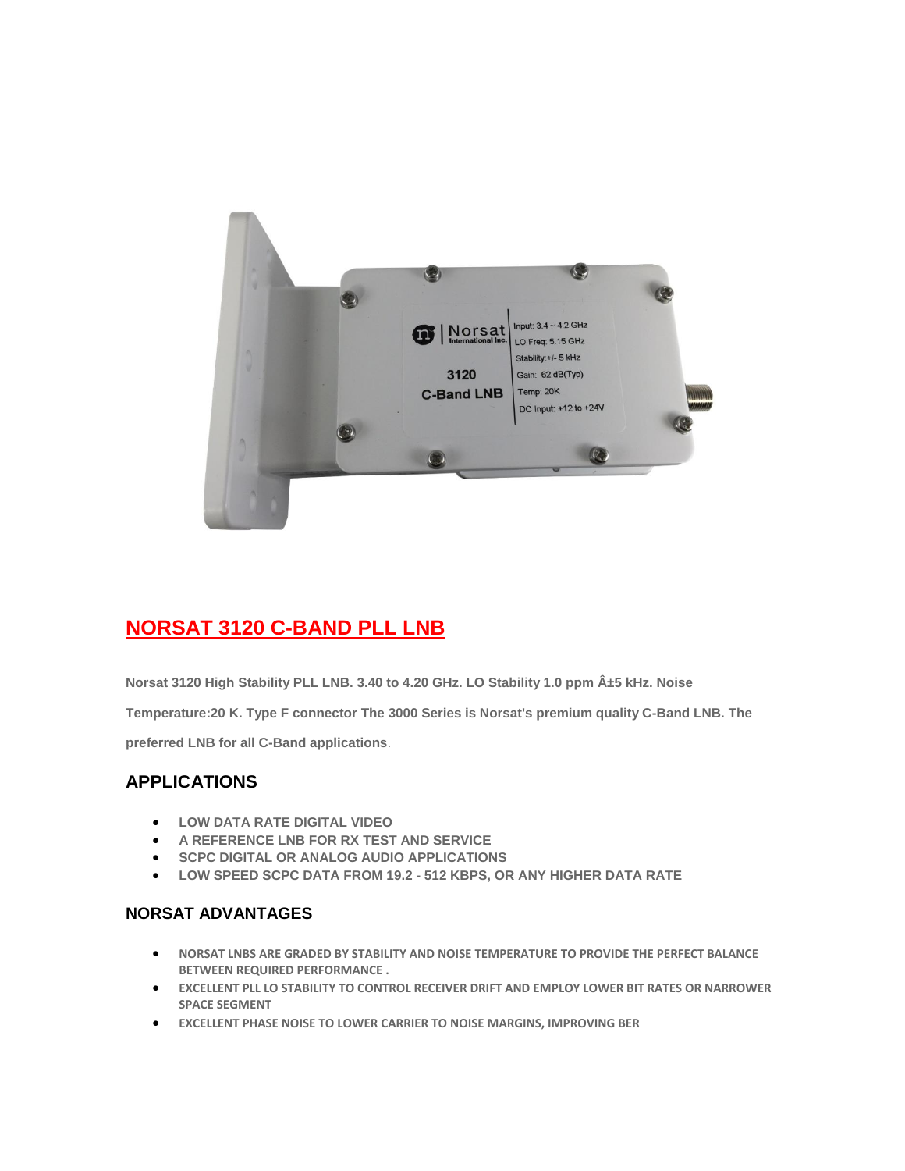

## **NORSAT 3120 C-BAND PLL LNB**

**Norsat 3120 High Stability PLL LNB. 3.40 to 4.20 GHz. LO Stability 1.0 ppm ±5 kHz. Noise** 

**Temperature:20 K. Type F connector The 3000 Series is Norsat's premium quality C-Band LNB. The** 

**preferred LNB for all C-Band applications**.

## **APPLICATIONS**

- **LOW DATA RATE DIGITAL VIDEO**
- **A REFERENCE LNB FOR RX TEST AND SERVICE**
- **SCPC DIGITAL OR ANALOG AUDIO APPLICATIONS**
- **LOW SPEED SCPC DATA FROM 19.2 - 512 KBPS, OR ANY HIGHER DATA RATE**

## **NORSAT ADVANTAGES**

- **NORSAT LNBS ARE GRADED BY STABILITY AND NOISE TEMPERATURE TO PROVIDE THE PERFECT BALANCE BETWEEN REQUIRED PERFORMANCE .**
- **EXCELLENT PLL LO STABILITY TO CONTROL RECEIVER DRIFT AND EMPLOY LOWER BIT RATES OR NARROWER SPACE SEGMENT**
- **EXCELLENT PHASE NOISE TO LOWER CARRIER TO NOISE MARGINS, IMPROVING BER**